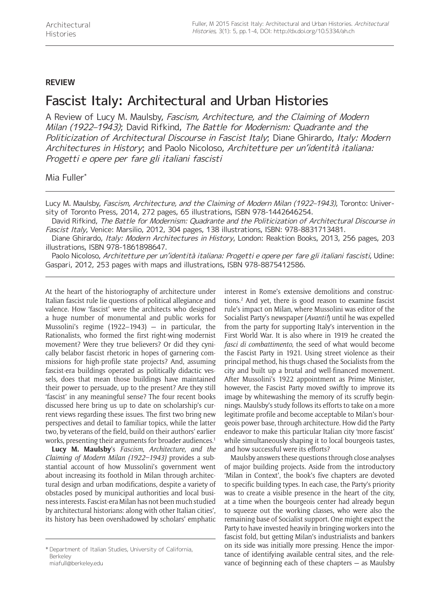## **REVIEW**

## Fascist Italy: Architectural and Urban Histories

A Review of Lucy M. Maulsby, Fascism, Architecture, and the Claiming of Modern Milan (1922–1943); David Rifkind, The Battle for Modernism: Quadrante and the Politicization of Architectural Discourse in Fascist Italy; Diane Ghirardo, Italy: Modern Architectures in History; and Paolo Nicoloso, Architetture per un'identità italiana: Progetti e opere per fare gli italiani fascisti

Mia Fuller\*

Lucy M. Maulsby, Fascism, Architecture, and the Claiming of Modern Milan (1922–1943), Toronto: University of Toronto Press, 2014, 272 pages, 65 illustrations, ISBN 978-1442646254.

David Rifkind, The Battle for Modernism: Quadrante and the Politicization of Architectural Discourse in Fascist Italy, Venice: Marsilio, 2012, 304 pages, 138 illustrations, ISBN: 978-8831713481.

Diane Ghirardo, Italy: Modern Architectures in History, London: Reaktion Books, 2013, 256 pages, 203 illustrations, ISBN 978-1861898647.

Paolo Nicoloso, Architetture per un'identità italiana: Progetti e opere per fare gli italiani fascisti, Udine: Gaspari, 2012, 253 pages with maps and illustrations, ISBN 978-8875412586.

At the heart of the historiography of architecture under Italian fascist rule lie questions of political allegiance and valence. How 'fascist' were the architects who designed a huge number of monumental and public works for Mussolini's regime (1922–1943) — in particular, the Rationalists, who formed the first right-wing modernist movement? Were they true believers? Or did they cynically belabor fascist rhetoric in hopes of garnering commissions for high-profile state projects? And, assuming fascist-era buildings operated as politically didactic vessels, does that mean those buildings have maintained their power to persuade, up to the present? Are they still 'fascist' in any meaningful sense? The four recent books discussed here bring us up to date on scholarship's current views regarding these issues. The first two bring new perspectives and detail to familiar topics, while the latter two, by veterans of the field, build on their authors' earlier works, presenting their arguments for broader audiences.<sup>1</sup>

**Lucy M. Maulsby**'s *Fascism, Architecture, and the Claiming of Modern Milan (1922–1943)* provides a substantial account of how Mussolini's government went about increasing its foothold in Milan through architectural design and urban modifications, despite a variety of obstacles posed by municipal authorities and local business interests. Fascist-era Milan has not been much studied by architectural historians: along with other Italian cities', its history has been overshadowed by scholars' emphatic

[miafull@berkeley.edu](mailto:miafull@berkeley.edu)

interest in Rome's extensive demolitions and constructions.2 And yet, there is good reason to examine fascist rule's impact on Milan, where Mussolini was editor of the Socialist Party's newspaper (*Avanti!*) until he was expelled from the party for supporting Italy's intervention in the First World War. It is also where in 1919 he created the *fasci di combattimento*, the seed of what would become the Fascist Party in 1921. Using street violence as their principal method, his thugs chased the Socialists from the city and built up a brutal and well-financed movement. After Mussolini's 1922 appointment as Prime Minister, however, the Fascist Party moved swiftly to improve its image by whitewashing the memory of its scruffy beginnings. Maulsby's study follows its efforts to take on a more legitimate profile and become acceptable to Milan's bourgeois power base, through architecture. How did the Party endeavor to make this particular Italian city 'more fascist' while simultaneously shaping it to local bourgeois tastes, and how successful were its efforts?

Maulsby answers these questions through close analyses of major building projects. Aside from the introductory 'Milan in Context', the book's five chapters are devoted to specific building types. In each case, the Party's priority was to create a visible presence in the heart of the city, at a time when the bourgeois center had already begun to squeeze out the working classes, who were also the remaining base of Socialist support. One might expect the Party to have invested heavily in bringing workers into the fascist fold, but getting Milan's industrialists and bankers on its side was initially more pressing. Hence the importance of identifying available central sites, and the relevance of beginning each of these chapters — as Maulsby

<sup>\*</sup> Department of Italian Studies, University of California, Berkeley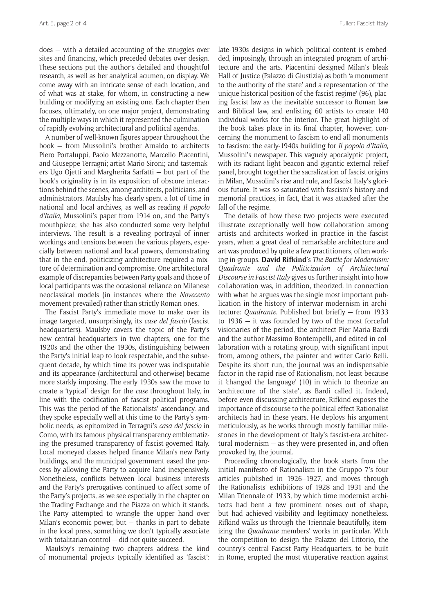does — with a detailed accounting of the struggles over sites and financing, which preceded debates over design. These sections put the author's detailed and thoughtful research, as well as her analytical acumen, on display. We come away with an intricate sense of each location, and of what was at stake, for whom, in constructing a new building or modifying an existing one. Each chapter then focuses, ultimately, on one major project, demonstrating the multiple ways in which it represented the culmination of rapidly evolving architectural and political agendas.

A number of well-known figures appear throughout the book — from Mussolini's brother Arnaldo to architects Piero Portaluppi, Paolo Mezzanotte, Marcello Piacentini, and Giuseppe Terragni; artist Mario Sironi; and tastemakers Ugo Ojetti and Margherita Sarfatti — but part of the book's originality is in its exposition of obscure interactions behind the scenes, among architects, politicians, and administrators. Maulsby has clearly spent a lot of time in national and local archives, as well as reading *Il popolo d'Italia*, Mussolini's paper from 1914 on, and the Party's mouthpiece; she has also conducted some very helpful interviews. The result is a revealing portrayal of inner workings and tensions between the various players, especially between national and local powers, demonstrating that in the end, politicizing architecture required a mixture of determination and compromise. One architectural example of discrepancies between Party goals and those of local participants was the occasional reliance on Milanese neoclassical models (in instances where the *Novecento*  movement prevailed) rather than strictly Roman ones.

The Fascist Party's immediate move to make over its image targeted, unsurprisingly, its *case del fascio* (fascist headquarters). Maulsby covers the topic of the Party's new central headquarters in two chapters, one for the 1920s and the other the 1930s, distinguishing between the Party's initial leap to look respectable, and the subsequent decade, by which time its power was indisputable and its appearance (architectural and otherwise) became more starkly imposing. The early 1930s saw the move to create a 'typical' design for the *case* throughout Italy, in line with the codification of fascist political programs. This was the period of the Rationalists' ascendancy, and they spoke especially well at this time to the Party's symbolic needs, as epitomized in Terragni's *casa del fascio* in Como, with its famous physical transparency emblematizing the presumed transparency of fascist-governed Italy. Local moneyed classes helped finance Milan's new Party buildings, and the municipal government eased the process by allowing the Party to acquire land inexpensively. Nonetheless, conflicts between local business interests and the Party's prerogatives continued to affect some of the Party's projects, as we see especially in the chapter on the Trading Exchange and the Piazza on which it stands. The Party attempted to wrangle the upper hand over Milan's economic power, but — thanks in part to debate in the local press, something we don't typically associate with totalitarian control — did not quite succeed.

Maulsby's remaining two chapters address the kind of monumental projects typically identified as 'fascist': late-1930s designs in which political content is embedded, imposingly, through an integrated program of architecture and the arts. Piacentini designed Milan's bleak Hall of Justice (Palazzo di Giustizia) as both 'a monument to the authority of the state' and a representation of 'the unique historical position of the fascist regime' (96), placing fascist law as the inevitable successor to Roman law and Biblical law, and enlisting 60 artists to create 140 individual works for the interior. The great highlight of the book takes place in its final chapter, however, concerning the monument to fascism to end all monuments to fascism: the early-1940s building for *Il popolo d'Italia*, Mussolini's newspaper. This vaguely apocalyptic project, with its radiant light beacon and gigantic external relief panel, brought together the sacralization of fascist origins in Milan, Mussolini's rise and rule, and fascist Italy's glorious future. It was so saturated with fascism's history and memorial practices, in fact, that it was attacked after the fall of the regime.

The details of how these two projects were executed illustrate exceptionally well how collaboration among artists and architects worked in practice in the fascist years, when a great deal of remarkable architecture and art was produced by quite a few practitioners, often working in groups. **David Rifkind**'s *The Battle for Modernism: Quadrante and the Politicization of Architectural Discourse in Fascist Italy* gives us further insight into how collaboration was, in addition, theorized, in connection with what he argues was the single most important publication in the history of interwar modernism in architecture: *Quadrante*. Published but briefly — from 1933 to 1936 — it was founded by two of the most forceful visionaries of the period, the architect Pier Maria Bardi and the author Massimo Bontempelli, and edited in collaboration with a rotating group, with significant input from, among others, the painter and writer Carlo Belli. Despite its short run, the journal was an indispensable factor in the rapid rise of Rationalism, not least because it 'changed the language' (10) in which to theorize an 'architecture of the state', as Bardi called it. Indeed, before even discussing architecture, Rifkind exposes the importance of discourse to the political effect Rationalist architects had in these years. He deploys his argument meticulously, as he works through mostly familiar milestones in the development of Italy's fascist-era architectural modernism — as they were presented in, and often provoked by, the journal.

Proceeding chronologically, the book starts from the initial manifesto of Rationalism in the Gruppo 7's four articles published in 1926–1927, and moves through the Rationalists' exhibitions of 1928 and 1931 and the Milan Triennale of 1933, by which time modernist architects had bent a few prominent noses out of shape, but had achieved visibility and legitimacy nonetheless. Rifkind walks us through the Triennale beautifully, itemizing the *Quadrante* members' works in particular. With the competition to design the Palazzo del Littorio, the country's central Fascist Party Headquarters, to be built in Rome, erupted the most vituperative reaction against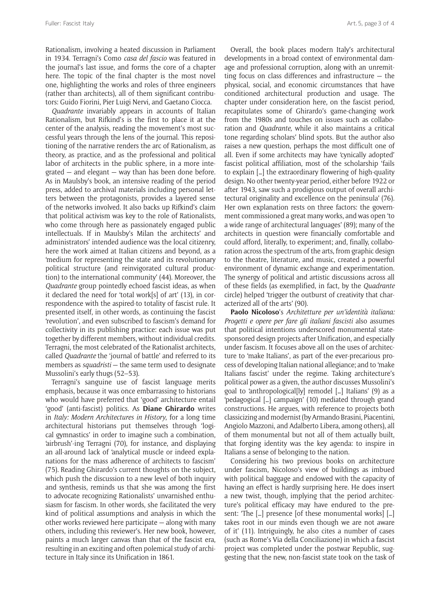Rationalism, involving a heated discussion in Parliament in 1934. Terragni's Como *casa del fascio* was featured in the journal's last issue, and forms the core of a chapter here. The topic of the final chapter is the most novel one, highlighting the works and roles of three engineers (rather than architects), all of them significant contributors: Guido Fiorini, Pier Luigi Nervi, and Gaetano Ciocca.

*Quadrante* invariably appears in accounts of Italian Rationalism, but Rifkind's is the first to place it at the center of the analysis, reading the movement's most successful years through the lens of the journal. This repositioning of the narrative renders the arc of Rationalism, as theory, as practice, and as the professional and political labor of architects in the public sphere, in a more integrated — and elegant — way than has been done before. As in Maulsby's book, an intensive reading of the period press, added to archival materials including personal letters between the protagonists, provides a layered sense of the networks involved. It also backs up Rifkind's claim that political activism was key to the role of Rationalists, who come through here as passionately engaged public intellectuals. If in Maulsby's Milan the architects' and administrators' intended audience was the local citizenry, here the work aimed at Italian citizens and beyond, as a 'medium for representing the state and its revolutionary political structure (and reinvigorated cultural production) to the international community' (44). Moreover, the *Quadrante* group pointedly echoed fascist ideas, as when it declared the need for 'total work[s] of art' (13), in correspondence with the aspired-to totality of fascist rule. It presented itself, in other words, as continuing the fascist 'revolution', and even subscribed to fascism's demand for collectivity in its publishing practice: each issue was put together by different members, without individual credits. Terragni, the most celebrated of the Rationalist architects, called *Quadrante* the 'journal of battle' and referred to its members as *squadristi* — the same term used to designate Mussolini's early thugs (52–53).

Terragni's sanguine use of fascist language merits emphasis, because it was once embarrassing to historians who would have preferred that 'good' architecture entail 'good' (anti-fascist) politics. As **Diane Ghirardo** writes in *Italy: Modern Architectures in History*, for a long time architectural historians put themselves through 'logical gymnastics' in order to imagine such a combination, 'airbrush'-ing Terragni (70), for instance, and displaying an all-around lack of 'analytical muscle or indeed explanations for the mass adherence of architects to fascism' (75). Reading Ghirardo's current thoughts on the subject, which push the discussion to a new level of both inquiry and synthesis, reminds us that she was among the first to advocate recognizing Rationalists' unvarnished enthusiasm for fascism. In other words, she facilitated the very kind of political assumptions and analysis in which the other works reviewed here participate — along with many others, including this reviewer's. Her new book, however, paints a much larger canvas than that of the fascist era, resulting in an exciting and often polemical study of architecture in Italy since its Unification in 1861.

Overall, the book places modern Italy's architectural developments in a broad context of environmental damage and professional corruption, along with an unremitting focus on class differences and infrastructure — the physical, social, and economic circumstances that have conditioned architectural production and usage. The chapter under consideration here, on the fascist period, recapitulates some of Ghirardo's game-changing work from the 1980s and touches on issues such as collaboration and *Quadrante*, while it also maintains a critical tone regarding scholars' blind spots. But the author also raises a new question, perhaps the most difficult one of all. Even if some architects may have 'cynically adopted' fascist political affiliation, most of the scholarship 'fails to explain […] the extraordinary flowering of high-quality design. No other twenty-year period, either before 1922 or after 1943, saw such a prodigious output of overall architectural originality and excellence on the peninsula' (76). Her own explanation rests on three factors: the government commissioned a great many works, and was open 'to a wide range of architectural languages' (89); many of the architects in question were financially comfortable and could afford, literally, to experiment; and, finally, collaboration across the spectrum of the arts, from graphic design to the theatre, literature, and music, created a powerful environment of dynamic exchange and experimentation. The synergy of political and artistic discussions across all of these fields (as exemplified, in fact, by the *Quadrante* circle) helped 'trigger the outburst of creativity that characterized all of the arts' (90).

**Paolo Nicoloso**'s *Architetture per un'identità italiana: Progetti e opere per fare gli italiani fascisti* also assumes that political intentions underscored monumental statesponsored design projects after Unification, and especially under fascism. It focuses above all on the uses of architecture to 'make Italians', as part of the ever-precarious process of developing Italian national allegiance; and to 'make Italians fascist' under the regime. Taking architecture's political power as a given, the author discusses Mussolini's goal to 'anthropological[ly] remodel […] Italians' (9) as a 'pedagogical […] campaign' (10) mediated through grand constructions. He argues, with reference to projects both classicizing and modernist (by Armando Brasini, Piacentini, Angiolo Mazzoni, and Adalberto Libera, among others), all of them monumental but not all of them actually built, that forging identity was the key agenda: to inspire in Italians a sense of belonging to the nation.

Considering his two previous books on architecture under fascism, Nicoloso's view of buildings as imbued with political baggage and endowed with the capacity of having an effect is hardly surprising here. He does insert a new twist, though, implying that the period architecture's political efficacy may have endured to the present: 'The […] presence [of these monumental works] […] takes root in our minds even though we are not aware of it' (11). Intriguingly, he also cites a number of cases (such as Rome's Via della Conciliazione) in which a fascist project was completed under the postwar Republic, suggesting that the new, non-fascist state took on the task of